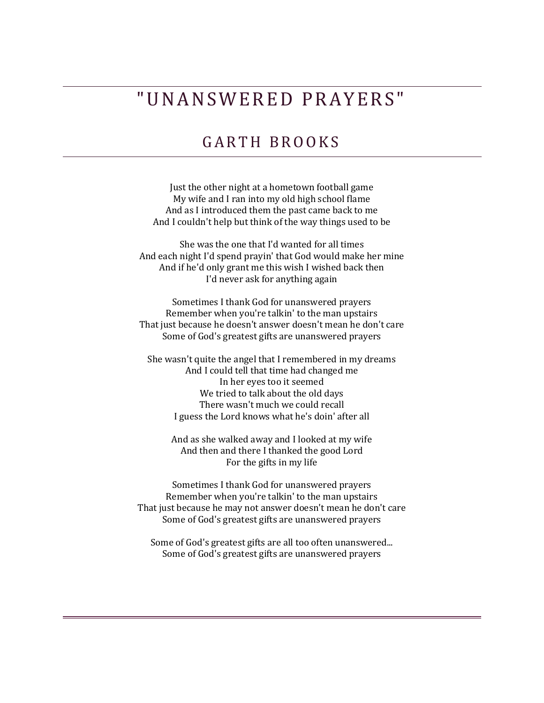## " U N A N S W E R E D P R A Y E R S "

## GARTH BROOKS

Just the other night at a hometown football game My wife and I ran into my old high school flame And as I introduced them the past came back to me And I couldn't help but think of the way things used to be

She was the one that I'd wanted for all times And each night I'd spend prayin' that God would make her mine And if he'd only grant me this wish I wished back then I'd never ask for anything again

Sometimes I thank God for unanswered prayers Remember when you're talkin' to the man upstairs That just because he doesn't answer doesn't mean he don't care Some of God's greatest gifts are unanswered prayers

She wasn't quite the angel that I remembered in my dreams And I could tell that time had changed me In her eyes too it seemed We tried to talk about the old days There wasn't much we could recall I guess the Lord knows what he's doin' after all

And as she walked away and I looked at my wife And then and there I thanked the good Lord For the gifts in my life

Sometimes I thank God for unanswered prayers Remember when you're talkin' to the man upstairs That just because he may not answer doesn't mean he don't care Some of God's greatest gifts are unanswered prayers

Some of God's greatest gifts are all too often unanswered... Some of God's greatest gifts are unanswered prayers